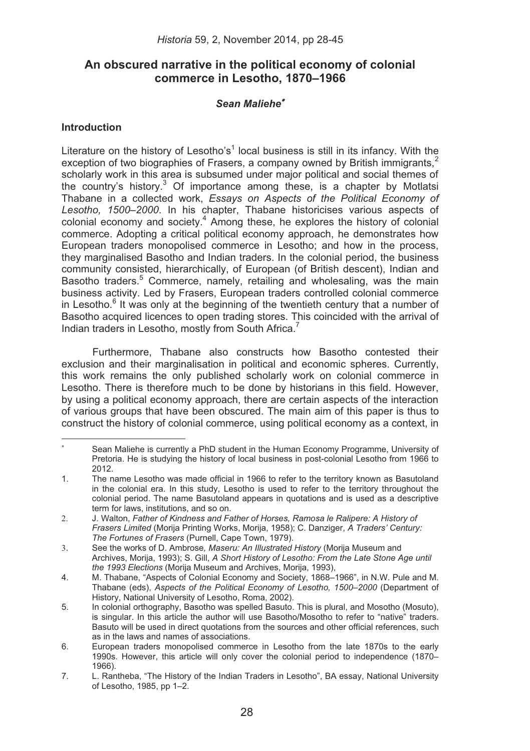# **An obscured narrative in the political economy of colonial commerce in Lesotho, 1870–1966**

# *Sean Maliehe*

### **Introduction**

Literature on the history of Lesotho's<sup>1</sup> local business is still in its infancy. With the exception of two biographies of Frasers, a company owned by British immigrants.<sup>2</sup> scholarly work in this area is subsumed under major political and social themes of the country's history.<sup>3</sup> Of importance among these, is a chapter by Motlatsi Thabane in a collected work, *Essays on Aspects of the Political Economy of Lesotho, 1500–2000*. In his chapter, Thabane historicises various aspects of colonial economy and society.<sup>4</sup> Among these, he explores the history of colonial commerce. Adopting a critical political economy approach, he demonstrates how European traders monopolised commerce in Lesotho; and how in the process, they marginalised Basotho and Indian traders. In the colonial period, the business community consisted, hierarchically, of European (of British descent), Indian and Basotho traders.<sup>5</sup> Commerce, namely, retailing and wholesaling, was the main business activity. Led by Frasers, European traders controlled colonial commerce in Lesotho.<sup>6</sup> It was only at the beginning of the twentieth century that a number of Basotho acquired licences to open trading stores. This coincided with the arrival of Indian traders in Lesotho, mostly from South Africa.<sup>7</sup>

Furthermore, Thabane also constructs how Basotho contested their exclusion and their marginalisation in political and economic spheres. Currently, this work remains the only published scholarly work on colonial commerce in Lesotho. There is therefore much to be done by historians in this field. However, by using a political economy approach, there are certain aspects of the interaction of various groups that have been obscured. The main aim of this paper is thus to construct the history of colonial commerce, using political economy as a context, in

٠ Sean Maliehe is currently a PhD student in the Human Economy Programme, University of Pretoria. He is studying the history of local business in post-colonial Lesotho from 1966 to 2012.

<sup>1.</sup> The name Lesotho was made official in 1966 to refer to the territory known as Basutoland in the colonial era. In this study, Lesotho is used to refer to the territory throughout the colonial period. The name Basutoland appears in quotations and is used as a descriptive term for laws, institutions, and so on.

<sup>2.</sup> J. Walton, *Father of Kindness and Father of Horses, Ramosa le Ralipere: A History of Frasers Limited* (Morija Printing Works, Morija, 1958); C. Danziger, *A Traders' Century: The Fortunes of Frasers* (Purnell, Cape Town, 1979).

<sup>3</sup>. See the works of D. Ambrose*, Maseru: An Illustrated History* (Morija Museum and Archives, Morija, 1993); S. Gill, *A Short History of Lesotho: From the Late Stone Age until the 1993 Elections* (Morija Museum and Archives, Morija, 1993),

<sup>4.</sup> M. Thabane, "Aspects of Colonial Economy and Society, 1868–1966", in N.W. Pule and M. Thabane (eds), *Aspects of the Political Economy of Lesotho, 1500*–*2000* (Department of History, National University of Lesotho, Roma, 2002).

<sup>5.</sup> In colonial orthography, Basotho was spelled Basuto. This is plural, and Mosotho (Mosuto), is singular. In this article the author will use Basotho/Mosotho to refer to "native" traders. Basuto will be used in direct quotations from the sources and other official references, such as in the laws and names of associations.

<sup>6.</sup> European traders monopolised commerce in Lesotho from the late 1870s to the early 1990s. However, this article will only cover the colonial period to independence (1870– 1966).

<sup>7.</sup> L. Rantheba, "The History of the Indian Traders in Lesotho", BA essay, National University of Lesotho, 1985, pp 1–2.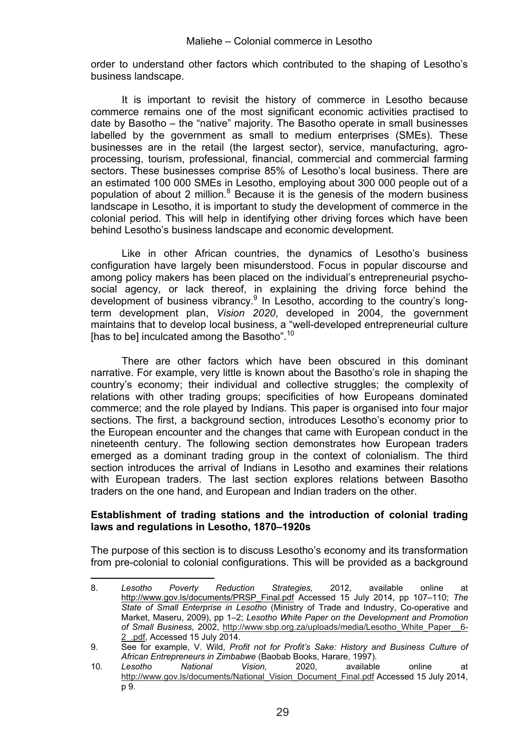order to understand other factors which contributed to the shaping of Lesotho's business landscape.

It is important to revisit the history of commerce in Lesotho because commerce remains one of the most significant economic activities practised to date by Basotho – the "native" majority. The Basotho operate in small businesses labelled by the government as small to medium enterprises (SMEs). These businesses are in the retail (the largest sector), service, manufacturing, agroprocessing, tourism, professional, financial, commercial and commercial farming sectors. These businesses comprise 85% of Lesotho's local business. There are an estimated 100 000 SMEs in Lesotho, employing about 300 000 people out of a population of about 2 million.<sup>8</sup> Because it is the genesis of the modern business landscape in Lesotho, it is important to study the development of commerce in the colonial period. This will help in identifying other driving forces which have been behind Lesotho's business landscape and economic development.

Like in other African countries, the dynamics of Lesotho's business configuration have largely been misunderstood. Focus in popular discourse and among policy makers has been placed on the individual's entrepreneurial psychosocial agency, or lack thereof, in explaining the driving force behind the development of business vibrancy.<sup>9</sup> In Lesotho, according to the country's longterm development plan, *Vision 2020*, developed in 2004, the government maintains that to develop local business, a "well-developed entrepreneurial culture [has to be] inculcated among the Basotho".<sup>10</sup>

There are other factors which have been obscured in this dominant narrative. For example, very little is known about the Basotho's role in shaping the country's economy; their individual and collective struggles; the complexity of relations with other trading groups; specificities of how Europeans dominated commerce; and the role played by Indians. This paper is organised into four major sections. The first, a background section, introduces Lesotho's economy prior to the European encounter and the changes that came with European conduct in the nineteenth century. The following section demonstrates how European traders emerged as a dominant trading group in the context of colonialism. The third section introduces the arrival of Indians in Lesotho and examines their relations with European traders. The last section explores relations between Basotho traders on the one hand, and European and Indian traders on the other.

### **Establishment of trading stations and the introduction of colonial trading laws and regulations in Lesotho, 1870–1920s**

The purpose of this section is to discuss Lesotho's economy and its transformation from pre-colonial to colonial configurations. This will be provided as a background

<sup>8.</sup> *Lesotho Poverty Reduction Strategies,* 2012*,* available online at http://www.gov.ls/documents/PRSP\_Final.pdf Accessed 15 July 2014, pp 107–110; *The State of Small Enterprise in Lesotho* (Ministry of Trade and Industry, Co-operative and Market, Maseru, 2009), pp 1–2; *Lesotho White Paper on the Development and Promotion of Small Business,* 2002, http://www.sbp.org.za/uploads/media/Lesotho\_White\_Paper\_\_6- 2\_.pdf, Accessed 15 July 2014.

<sup>9.</sup> See for example, V. Wild, *Profit not for Profit's Sake: History and Business Culture of African Entrepreneurs in Zimbabwe* (Baobab Books, Harare, 1997).

<sup>10.</sup> *Lesotho National Vision,* 2020, available online at http://www.gov.ls/documents/National\_Vision\_Document\_Final.pdf Accessed 15 July 2014,  $\overline{p}$  9.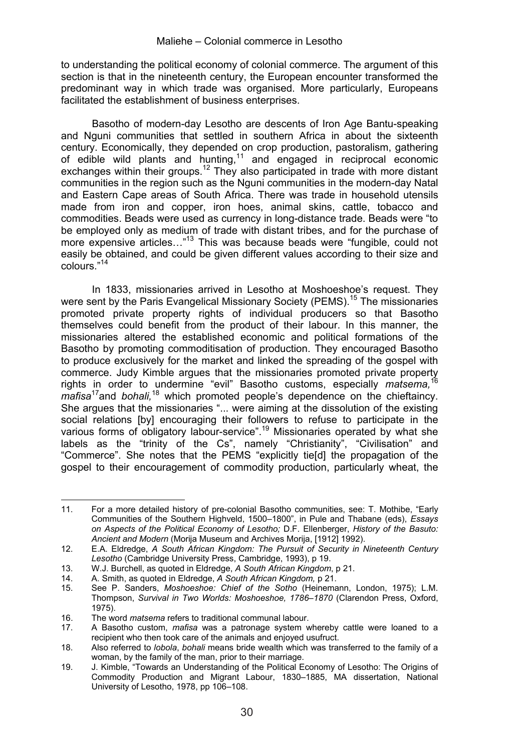to understanding the political economy of colonial commerce. The argument of this section is that in the nineteenth century, the European encounter transformed the predominant way in which trade was organised. More particularly, Europeans facilitated the establishment of business enterprises.

Basotho of modern-day Lesotho are descents of Iron Age Bantu-speaking and Nguni communities that settled in southern Africa in about the sixteenth century. Economically, they depended on crop production, pastoralism, gathering of edible wild plants and hunting,<sup>11</sup> and engaged in reciprocal economic exchanges within their groups.<sup>12</sup> They also participated in trade with more distant communities in the region such as the Nguni communities in the modern-day Natal and Eastern Cape areas of South Africa. There was trade in household utensils made from iron and copper, iron hoes, animal skins, cattle, tobacco and commodities. Beads were used as currency in long-distance trade. Beads were "to be employed only as medium of trade with distant tribes, and for the purchase of more expensive articles...<sup>"13</sup> This was because beads were "fungible, could not easily be obtained, and could be given different values according to their size and colours."<sup>14</sup>

In 1833, missionaries arrived in Lesotho at Moshoeshoe's request. They were sent by the Paris Evangelical Missionary Society (PEMS).<sup>15</sup> The missionaries promoted private property rights of individual producers so that Basotho themselves could benefit from the product of their labour. In this manner, the missionaries altered the established economic and political formations of the Basotho by promoting commoditisation of production. They encouraged Basotho to produce exclusively for the market and linked the spreading of the gospel with commerce. Judy Kimble argues that the missionaries promoted private property rights in order to undermine "evil" Basotho customs, especially *matsema,*<sup>16</sup> *mafisa*17and *bohali,*18 which promoted people's dependence on the chieftaincy. She argues that the missionaries "... were aiming at the dissolution of the existing social relations [by] encouraging their followers to refuse to participate in the various forms of obligatory labour-service".<sup>19</sup> Missionaries operated by what she labels as the "trinity of the Cs", namely "Christianity", "Civilisation" and "Commerce". She notes that the PEMS "explicitly tie[d] the propagation of the gospel to their encouragement of commodity production, particularly wheat, the

 11. For a more detailed history of pre-colonial Basotho communities, see: T. Mothibe, "Early Communities of the Southern Highveld, 1500–1800", in Pule and Thabane (eds), *Essays on Aspects of the Political Economy of Lesotho;* D.F. Ellenberger, *History of the Basuto: Ancient and Modern* (Morija Museum and Archives Morija, [1912] 1992).

<sup>12.</sup> E.A. Eldredge, *A South African Kingdom: The Pursuit of Security in Nineteenth Century Lesotho* (Cambridge University Press, Cambridge, 1993), p 19.

<sup>13.</sup> W.J. Burchell, as quoted in Eldredge, *A South African Kingdom*, p 21.

<sup>14.</sup> A. Smith, as quoted in Eldredge, *A South African Kingdom,* p 21.

<sup>15.</sup> See P. Sanders, *Moshoeshoe: Chief of the Sotho* (Heinemann, London, 1975); L.M. Thompson, *Survival in Two Worlds: Moshoeshoe, 1786*–*1870* (Clarendon Press, Oxford, 1975).

<sup>16.</sup> The word *matsema* refers to traditional communal labour.<br>17. A Basotho custom *matisa* was a patronage system w

<sup>17.</sup> A Basotho custom, *mafisa* was a patronage system whereby cattle were loaned to a recipient who then took care of the animals and enjoyed usufruct.

<sup>18.</sup> Also referred to *lobola*, *bohali* means bride wealth which was transferred to the family of a woman, by the family of the man, prior to their marriage.

<sup>19.</sup> J. Kimble, "Towards an Understanding of the Political Economy of Lesotho: The Origins of Commodity Production and Migrant Labour, 1830–1885, MA dissertation, National University of Lesotho, 1978, pp 106–108.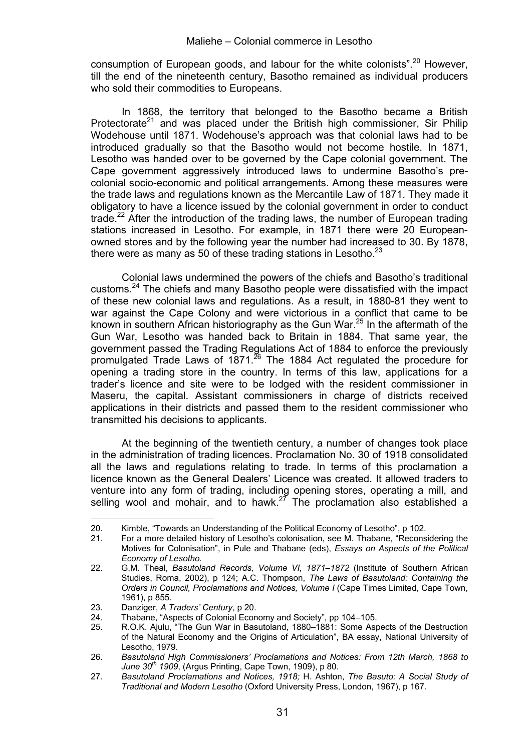consumption of European goods, and labour for the white colonists".20 However, till the end of the nineteenth century, Basotho remained as individual producers who sold their commodities to Europeans.

In 1868, the territory that belonged to the Basotho became a British Protectorate<sup>21</sup> and was placed under the British high commissioner, Sir Philip Wodehouse until 1871. Wodehouse's approach was that colonial laws had to be introduced gradually so that the Basotho would not become hostile. In 1871, Lesotho was handed over to be governed by the Cape colonial government. The Cape government aggressively introduced laws to undermine Basotho's precolonial socio-economic and political arrangements. Among these measures were the trade laws and regulations known as the Mercantile Law of 1871. They made it obligatory to have a licence issued by the colonial government in order to conduct trade.<sup>22</sup> After the introduction of the trading laws, the number of European trading stations increased in Lesotho. For example, in 1871 there were 20 Europeanowned stores and by the following year the number had increased to 30. By 1878, there were as many as 50 of these trading stations in Lesotho. $^{23}$ 

Colonial laws undermined the powers of the chiefs and Basotho's traditional customs.<sup>24</sup> The chiefs and many Basotho people were dissatisfied with the impact of these new colonial laws and regulations. As a result, in 1880-81 they went to war against the Cape Colony and were victorious in a conflict that came to be known in southern African historiography as the Gun War.<sup>25</sup> In the aftermath of the Gun War, Lesotho was handed back to Britain in 1884. That same year, the government passed the Trading Regulations Act of 1884 to enforce the previously promulgated Trade Laws of 1871.26 The 1884 Act regulated the procedure for opening a trading store in the country. In terms of this law, applications for a trader's licence and site were to be lodged with the resident commissioner in Maseru, the capital. Assistant commissioners in charge of districts received applications in their districts and passed them to the resident commissioner who transmitted his decisions to applicants.

At the beginning of the twentieth century, a number of changes took place in the administration of trading licences. Proclamation No. 30 of 1918 consolidated all the laws and regulations relating to trade. In terms of this proclamation a licence known as the General Dealers' Licence was created. It allowed traders to venture into any form of trading, including opening stores, operating a mill, and selling wool and mohair, and to hawk.<sup>27</sup> The proclamation also established a

 20. Kimble, "Towards an Understanding of the Political Economy of Lesotho", p 102.<br>21. For a more detailed history of Lesotho's colonisation, see M. Thabane. "Reconsi

<sup>21.</sup> For a more detailed history of Lesotho's colonisation, see M. Thabane, "Reconsidering the Motives for Colonisation", in Pule and Thabane (eds), *Essays on Aspects of the Political Economy of Lesotho.*

<sup>22.</sup> G.M. Theal, *Basutoland Records, Volume VI, 1871–1872* (Institute of Southern African Studies, Roma, 2002), p 124; A.C. Thompson, *The Laws of Basutoland: Containing the Orders in Council, Proclamations and Notices, Volume I* (Cape Times Limited, Cape Town, 1961), p 855.

<sup>23.</sup> Danziger, *A Traders' Century*, p 20.

<sup>24.</sup> Thabane, "Aspects of Colonial Economy and Society"*,* pp 104–105.

<sup>25.</sup> R.O.K. Ajulu, "The Gun War in Basutoland, 1880–1881: Some Aspects of the Destruction of the Natural Economy and the Origins of Articulation", BA essay, National University of Lesotho, 1979.

<sup>26.</sup> *Basutoland High Commissioners' Proclamations and Notices: From 12th March, 1868 to June 30th 1909*, (Argus Printing, Cape Town, 1909), p 80.

<sup>27.</sup> *Basutoland Proclamations and Notices, 1918;* H. Ashton, *The Basuto: A Social Study of Traditional and Modern Lesotho* (Oxford University Press, London, 1967), p 167.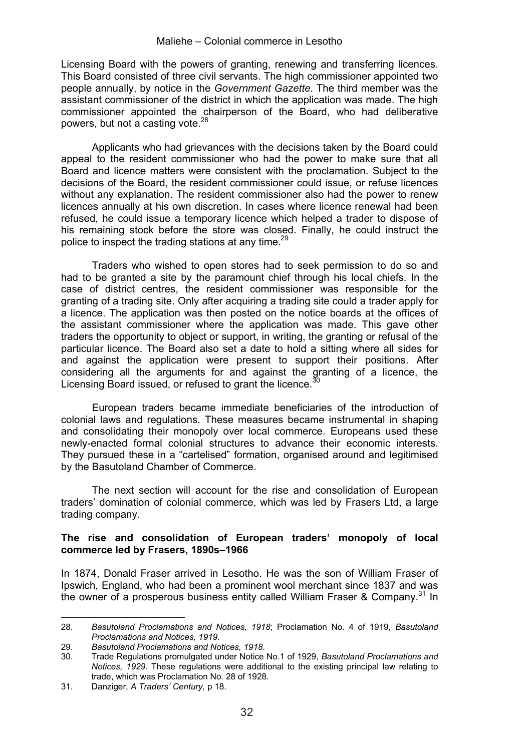Licensing Board with the powers of granting, renewing and transferring licences. This Board consisted of three civil servants. The high commissioner appointed two people annually, by notice in the *Government Gazette*. The third member was the assistant commissioner of the district in which the application was made. The high commissioner appointed the chairperson of the Board, who had deliberative powers, but not a casting vote.28

Applicants who had grievances with the decisions taken by the Board could appeal to the resident commissioner who had the power to make sure that all Board and licence matters were consistent with the proclamation. Subject to the decisions of the Board, the resident commissioner could issue, or refuse licences without any explanation. The resident commissioner also had the power to renew licences annually at his own discretion. In cases where licence renewal had been refused, he could issue a temporary licence which helped a trader to dispose of his remaining stock before the store was closed. Finally, he could instruct the police to inspect the trading stations at any time.<sup>29</sup>

Traders who wished to open stores had to seek permission to do so and had to be granted a site by the paramount chief through his local chiefs. In the case of district centres, the resident commissioner was responsible for the granting of a trading site. Only after acquiring a trading site could a trader apply for a licence. The application was then posted on the notice boards at the offices of the assistant commissioner where the application was made. This gave other traders the opportunity to object or support, in writing, the granting or refusal of the particular licence. The Board also set a date to hold a sitting where all sides for and against the application were present to support their positions. After considering all the arguments for and against the granting of a licence, the Licensing Board issued, or refused to grant the licence.<sup>30</sup>

European traders became immediate beneficiaries of the introduction of colonial laws and regulations. These measures became instrumental in shaping and consolidating their monopoly over local commerce. Europeans used these newly-enacted formal colonial structures to advance their economic interests. They pursued these in a "cartelised" formation, organised around and legitimised by the Basutoland Chamber of Commerce.

The next section will account for the rise and consolidation of European traders' domination of colonial commerce, which was led by Frasers Ltd, a large trading company.

#### **The rise and consolidation of European traders' monopoly of local commerce led by Frasers, 1890s–1966**

In 1874, Donald Fraser arrived in Lesotho. He was the son of William Fraser of Ipswich, England, who had been a prominent wool merchant since 1837 and was the owner of a prosperous business entity called William Fraser & Company.<sup>31</sup> In

 28. *Basutoland Proclamations and Notices, 1918*; Proclamation No. 4 of 1919, *Basutoland Proclamations and Notices, 1919.*

<sup>29.</sup> *Basutoland Proclamations and Notices, 1918.*

<sup>30.</sup> Trade Regulations promulgated under Notice No.1 of 1929, *Basutoland Proclamations and Notices, 1929.* These regulations were additional to the existing principal law relating to trade, which was Proclamation No. 28 of 1928.

<sup>31.</sup> Danziger, *A Traders' Century,* p 18.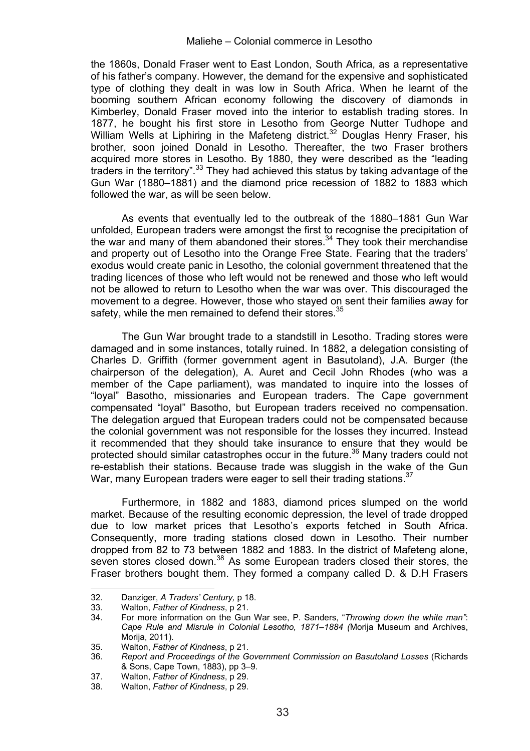the 1860s, Donald Fraser went to East London, South Africa, as a representative of his father's company. However, the demand for the expensive and sophisticated type of clothing they dealt in was low in South Africa. When he learnt of the booming southern African economy following the discovery of diamonds in Kimberley, Donald Fraser moved into the interior to establish trading stores. In 1877, he bought his first store in Lesotho from George Nutter Tudhope and William Wells at Liphiring in the Mafeteng district.<sup>32</sup> Douglas Henry Fraser, his brother, soon joined Donald in Lesotho. Thereafter, the two Fraser brothers acquired more stores in Lesotho. By 1880, they were described as the "leading traders in the territory".33 They had achieved this status by taking advantage of the Gun War (1880–1881) and the diamond price recession of 1882 to 1883 which followed the war, as will be seen below.

As events that eventually led to the outbreak of the 1880–1881 Gun War unfolded, European traders were amongst the first to recognise the precipitation of the war and many of them abandoned their stores. $34$  They took their merchandise and property out of Lesotho into the Orange Free State. Fearing that the traders' exodus would create panic in Lesotho, the colonial government threatened that the trading licences of those who left would not be renewed and those who left would not be allowed to return to Lesotho when the war was over. This discouraged the movement to a degree. However, those who stayed on sent their families away for safety, while the men remained to defend their stores.<sup>35</sup>

The Gun War brought trade to a standstill in Lesotho. Trading stores were damaged and in some instances, totally ruined. In 1882, a delegation consisting of Charles D. Griffith (former government agent in Basutoland), J.A. Burger (the chairperson of the delegation), A. Auret and Cecil John Rhodes (who was a member of the Cape parliament), was mandated to inquire into the losses of "loyal" Basotho, missionaries and European traders. The Cape government compensated "loyal" Basotho, but European traders received no compensation. The delegation argued that European traders could not be compensated because the colonial government was not responsible for the losses they incurred. Instead it recommended that they should take insurance to ensure that they would be protected should similar catastrophes occur in the future.<sup>36</sup> Many traders could not re-establish their stations. Because trade was sluggish in the wake of the Gun War, many European traders were eager to sell their trading stations.<sup>37</sup>

Furthermore, in 1882 and 1883, diamond prices slumped on the world market. Because of the resulting economic depression, the level of trade dropped due to low market prices that Lesotho's exports fetched in South Africa. Consequently, more trading stations closed down in Lesotho. Their number dropped from 82 to 73 between 1882 and 1883. In the district of Mafeteng alone, seven stores closed down.<sup>38</sup> As some European traders closed their stores, the Fraser brothers bought them. They formed a company called D. & D.H Frasers

<sup>32.</sup> Danziger, *A Traders' Century,* p 18.

<sup>33.</sup> Walton, *Father of Kindness*, p 21.

<sup>34.</sup> For more information on the Gun War see, P. Sanders, "*Throwing down the white man"*: *Cape Rule and Misrule in Colonial Lesotho, 1871–1884 (*Morija Museum and Archives, Morija, 2011).

<sup>35.</sup> Walton, *Father of Kindness*, p 21.

<sup>36.</sup> *Report and Proceedings of the Government Commission on Basutoland Losses* (Richards & Sons, Cape Town, 1883), pp 3*–*9.

<sup>37.</sup> Walton, *Father of Kindness*, p 29.

<sup>38.</sup> Walton, *Father of Kindness*, p 29.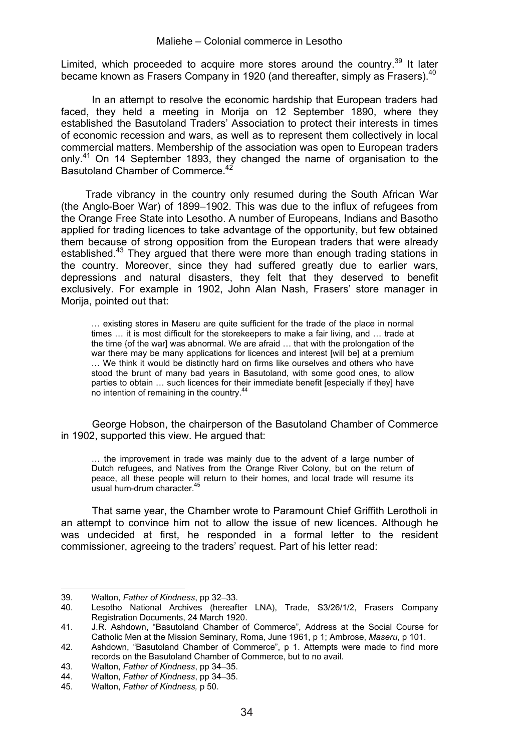Limited, which proceeded to acquire more stores around the country.<sup>39</sup> It later became known as Frasers Company in 1920 (and thereafter, simply as Frasers).<sup>40</sup>

In an attempt to resolve the economic hardship that European traders had faced, they held a meeting in Morija on 12 September 1890, where they established the Basutoland Traders' Association to protect their interests in times of economic recession and wars, as well as to represent them collectively in local commercial matters. Membership of the association was open to European traders only.<sup>41</sup> On 14 September 1893, they changed the name of organisation to the Basutoland Chamber of Commerce.<sup>4</sup>

Trade vibrancy in the country only resumed during the South African War (the Anglo-Boer War) of 1899–1902. This was due to the influx of refugees from the Orange Free State into Lesotho. A number of Europeans, Indians and Basotho applied for trading licences to take advantage of the opportunity, but few obtained them because of strong opposition from the European traders that were already established.<sup>43</sup> They argued that there were more than enough trading stations in the country. Moreover, since they had suffered greatly due to earlier wars, depressions and natural disasters, they felt that they deserved to benefit exclusively. For example in 1902, John Alan Nash, Frasers' store manager in Morija, pointed out that:

… existing stores in Maseru are quite sufficient for the trade of the place in normal times … it is most difficult for the storekeepers to make a fair living, and … trade at the time {of the war] was abnormal. We are afraid … that with the prolongation of the war there may be many applications for licences and interest [will be] at a premium … We think it would be distinctly hard on firms like ourselves and others who have stood the brunt of many bad years in Basutoland, with some good ones, to allow parties to obtain … such licences for their immediate benefit [especially if they] have no intention of remaining in the country.<sup>44</sup>

George Hobson, the chairperson of the Basutoland Chamber of Commerce in 1902, supported this view. He argued that:

… the improvement in trade was mainly due to the advent of a large number of Dutch refugees, and Natives from the Orange River Colony, but on the return of peace, all these people will return to their homes, and local trade will resume its usual hum-drum character.45

That same year, the Chamber wrote to Paramount Chief Griffith Lerotholi in an attempt to convince him not to allow the issue of new licences. Although he was undecided at first, he responded in a formal letter to the resident commissioner, agreeing to the traders' request. Part of his letter read:

<sup>39.</sup> Walton, *Father of Kindness*, pp 32–33.

<sup>40.</sup> Lesotho National Archives (hereafter LNA), Trade, S3/26/1/2, Frasers Company Registration Documents, 24 March 1920.

<sup>41.</sup> J.R. Ashdown, "Basutoland Chamber of Commerce", Address at the Social Course for Catholic Men at the Mission Seminary, Roma, June 1961, p 1; Ambrose, *Maseru*, p 101.

<sup>42.</sup> Ashdown, "Basutoland Chamber of Commerce", p 1. Attempts were made to find more records on the Basutoland Chamber of Commerce, but to no avail.

<sup>43.</sup> Walton, *Father of Kindness*, pp 34–35.

<sup>44.</sup> Walton, *Father of Kindness*, pp 34–35.

<sup>45.</sup> Walton, *Father of Kindness,* p 50.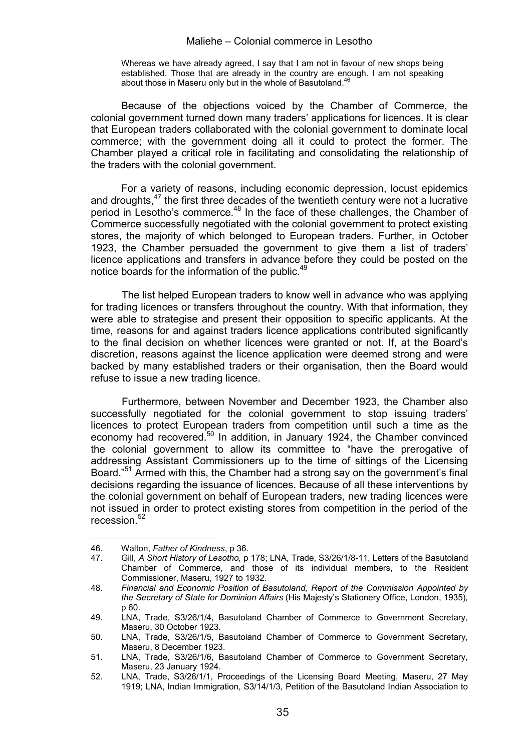Whereas we have already agreed, I say that I am not in favour of new shops being established. Those that are already in the country are enough. I am not speaking about those in Maseru only but in the whole of Basutoland.<sup>4</sup>

Because of the objections voiced by the Chamber of Commerce, the colonial government turned down many traders' applications for licences. It is clear that European traders collaborated with the colonial government to dominate local commerce; with the government doing all it could to protect the former. The Chamber played a critical role in facilitating and consolidating the relationship of the traders with the colonial government.

For a variety of reasons, including economic depression, locust epidemics and droughts,<sup>47</sup> the first three decades of the twentieth century were not a lucrative period in Lesotho's commerce.<sup>48</sup> In the face of these challenges, the Chamber of Commerce successfully negotiated with the colonial government to protect existing stores, the majority of which belonged to European traders. Further, in October 1923, the Chamber persuaded the government to give them a list of traders' licence applications and transfers in advance before they could be posted on the notice boards for the information of the public.<sup>49</sup>

The list helped European traders to know well in advance who was applying for trading licences or transfers throughout the country. With that information, they were able to strategise and present their opposition to specific applicants. At the time, reasons for and against traders licence applications contributed significantly to the final decision on whether licences were granted or not. If, at the Board's discretion, reasons against the licence application were deemed strong and were backed by many established traders or their organisation, then the Board would refuse to issue a new trading licence.

Furthermore, between November and December 1923, the Chamber also successfully negotiated for the colonial government to stop issuing traders' licences to protect European traders from competition until such a time as the economy had recovered.<sup>50</sup> In addition, in January 1924, the Chamber convinced the colonial government to allow its committee to "have the prerogative of addressing Assistant Commissioners up to the time of sittings of the Licensing Board."51 Armed with this, the Chamber had a strong say on the government's final decisions regarding the issuance of licences. Because of all these interventions by the colonial government on behalf of European traders, new trading licences were not issued in order to protect existing stores from competition in the period of the recession.<sup>52</sup>

<u> Alexandria de la contrada de la contrada de la contrada de la contrada de la contrada de la contrada de la c</u>

<sup>46.</sup> Walton, *Father of Kindness*, p 36.

<sup>47.</sup> Gill, *A Short History of Lesotho,* p 178; LNA, Trade, S3/26/1/8-11, Letters of the Basutoland Chamber of Commerce, and those of its individual members, to the Resident Commissioner, Maseru, 1927 to 1932.

<sup>48.</sup> *Financial and Economic Position of Basutoland, Report of the Commission Appointed by the Secretary of State for Dominion Affairs* (His Majesty's Stationery Office, London, 1935)*,*  p 60.

<sup>49.</sup> LNA, Trade, S3/26/1/4, Basutoland Chamber of Commerce to Government Secretary, Maseru, 30 October 1923.

<sup>50.</sup> LNA, Trade, S3/26/1/5, Basutoland Chamber of Commerce to Government Secretary, Maseru, 8 December 1923.

<sup>51.</sup> LNA, Trade, S3/26/1/6, Basutoland Chamber of Commerce to Government Secretary, Maseru, 23 January 1924.

<sup>52.</sup> LNA, Trade, S3/26/1/1, Proceedings of the Licensing Board Meeting, Maseru, 27 May 1919; LNA, Indian Immigration, S3/14/1/3, Petition of the Basutoland Indian Association to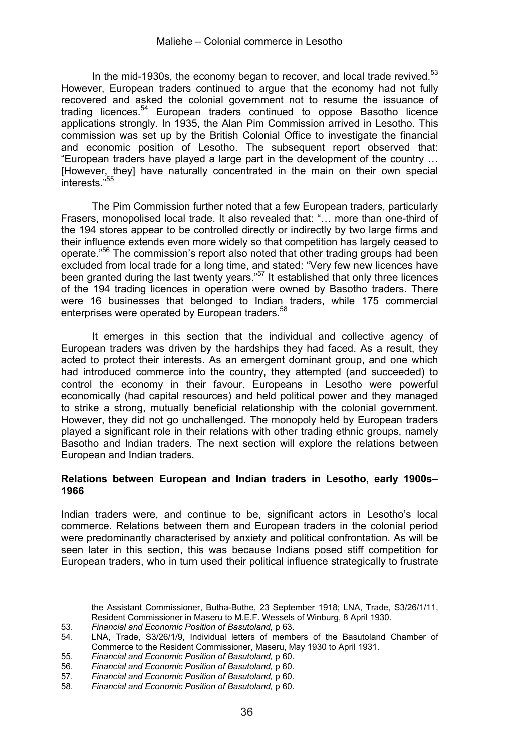In the mid-1930s, the economy began to recover, and local trade revived.<sup>53</sup> However, European traders continued to arque that the economy had not fully recovered and asked the colonial government not to resume the issuance of trading licences.54 European traders continued to oppose Basotho licence applications strongly. In 1935, the Alan Pim Commission arrived in Lesotho. This commission was set up by the British Colonial Office to investigate the financial and economic position of Lesotho. The subsequent report observed that: "European traders have played a large part in the development of the country … [However, they] have naturally concentrated in the main on their own special interests."55

The Pim Commission further noted that a few European traders, particularly Frasers, monopolised local trade. It also revealed that: "… more than one-third of the 194 stores appear to be controlled directly or indirectly by two large firms and their influence extends even more widely so that competition has largely ceased to operate."56 The commission's report also noted that other trading groups had been excluded from local trade for a long time, and stated: "Very few new licences have been granted during the last twenty years."<sup>57</sup> It established that only three licences of the 194 trading licences in operation were owned by Basotho traders. There were 16 businesses that belonged to Indian traders, while 175 commercial enterprises were operated by European traders.<sup>58</sup>

It emerges in this section that the individual and collective agency of European traders was driven by the hardships they had faced. As a result, they acted to protect their interests. As an emergent dominant group, and one which had introduced commerce into the country, they attempted (and succeeded) to control the economy in their favour. Europeans in Lesotho were powerful economically (had capital resources) and held political power and they managed to strike a strong, mutually beneficial relationship with the colonial government. However, they did not go unchallenged. The monopoly held by European traders played a significant role in their relations with other trading ethnic groups, namely Basotho and Indian traders. The next section will explore the relations between European and Indian traders.

#### **Relations between European and Indian traders in Lesotho, early 1900s– 1966**

Indian traders were, and continue to be, significant actors in Lesotho's local commerce. Relations between them and European traders in the colonial period were predominantly characterised by anxiety and political confrontation. As will be seen later in this section, this was because Indians posed stiff competition for European traders, who in turn used their political influence strategically to frustrate

<u> El seu de la característica de la característica de la característica de la característica de la característi</u>

the Assistant Commissioner, Butha-Buthe, 23 September 1918; LNA, Trade, S3/26/1/11, Resident Commissioner in Maseru to M.E.F. Wessels of Winburg, 8 April 1930.

<sup>53.</sup> *Financial and Economic Position of Basutoland, p 63.*<br>54. LNA. Trade. S3/26/1/9. Individual letters of memb

LNA, Trade, S3/26/1/9, Individual letters of members of the Basutoland Chamber of Commerce to the Resident Commissioner, Maseru, May 1930 to April 1931.

<sup>55.</sup> *Financial and Economic Position of Basutoland,* p 60. 56. *Financial and Economic Position of Basutoland,* p 60.

<sup>57.</sup> *Financial and Economic Position of Basutoland,* p 60.

<sup>58.</sup> *Financial and Economic Position of Basutoland,* p 60.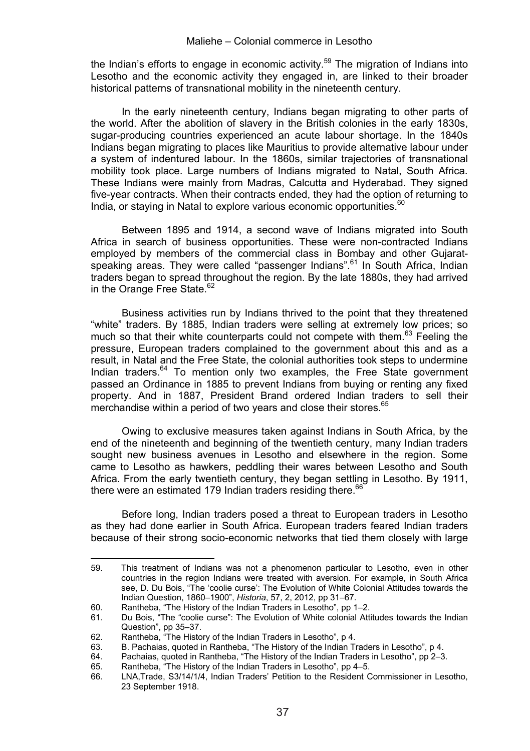the Indian's efforts to engage in economic activity.<sup>59</sup> The migration of Indians into Lesotho and the economic activity they engaged in, are linked to their broader historical patterns of transnational mobility in the nineteenth century.

In the early nineteenth century, Indians began migrating to other parts of the world. After the abolition of slavery in the British colonies in the early 1830s, sugar-producing countries experienced an acute labour shortage. In the 1840s Indians began migrating to places like Mauritius to provide alternative labour under a system of indentured labour. In the 1860s, similar trajectories of transnational mobility took place. Large numbers of Indians migrated to Natal, South Africa. These Indians were mainly from Madras, Calcutta and Hyderabad. They signed five-year contracts. When their contracts ended, they had the option of returning to India, or staving in Natal to explore various economic opportunities. $60$ 

Between 1895 and 1914, a second wave of Indians migrated into South Africa in search of business opportunities. These were non-contracted Indians employed by members of the commercial class in Bombay and other Gujaratspeaking areas. They were called "passenger Indians".<sup>61</sup> In South Africa, Indian traders began to spread throughout the region. By the late 1880s, they had arrived in the Orange Free State.<sup>62</sup>

Business activities run by Indians thrived to the point that they threatened "white" traders. By 1885, Indian traders were selling at extremely low prices; so much so that their white counterparts could not compete with them.<sup>63</sup> Feeling the pressure, European traders complained to the government about this and as a result, in Natal and the Free State, the colonial authorities took steps to undermine Indian traders. $64$  To mention only two examples, the Free State government passed an Ordinance in 1885 to prevent Indians from buying or renting any fixed property. And in 1887, President Brand ordered Indian traders to sell their merchandise within a period of two years and close their stores.<sup>65</sup>

Owing to exclusive measures taken against Indians in South Africa, by the end of the nineteenth and beginning of the twentieth century, many Indian traders sought new business avenues in Lesotho and elsewhere in the region. Some came to Lesotho as hawkers, peddling their wares between Lesotho and South Africa. From the early twentieth century, they began settling in Lesotho. By 1911, there were an estimated 179 Indian traders residing there.<sup>66</sup>

Before long, Indian traders posed a threat to European traders in Lesotho as they had done earlier in South Africa. European traders feared Indian traders because of their strong socio-economic networks that tied them closely with large

<sup>59.</sup> This treatment of Indians was not a phenomenon particular to Lesotho, even in other countries in the region Indians were treated with aversion. For example, in South Africa see, D. Du Bois, "The 'coolie curse': The Evolution of White Colonial Attitudes towards the Indian Question, 1860–1900", *Historia*, 57, 2, 2012, pp 31–67.

<sup>60.</sup> Rantheba, "The History of the Indian Traders in Lesotho", pp 1–2.

<sup>61.</sup> Du Bois, "The "coolie curse": The Evolution of White colonial Attitudes towards the Indian Question", pp 35–37.

<sup>62.</sup> Rantheba, "The History of the Indian Traders in Lesotho", p 4.<br>63. B. Pachaias. quoted in Rantheba. "The History of the Indian Tr

<sup>63.</sup> B. Pachaias, quoted in Rantheba, "The History of the Indian Traders in Lesotho", p 4.

<sup>64.</sup> Pachaias, quoted in Rantheba, "The History of the Indian Traders in Lesotho", pp 2-3.<br>65. Rantheba. "The History of the Indian Traders in Lesotho", pp 4-5.

<sup>65.</sup> Rantheba, "The History of the Indian Traders in Lesotho", pp 4–5.<br>66. L.NA.Trade. S3/14/1/4, Indian Traders' Petition to the Resident C

LNA,Trade, S3/14/1/4, Indian Traders' Petition to the Resident Commissioner in Lesotho, 23 September 1918.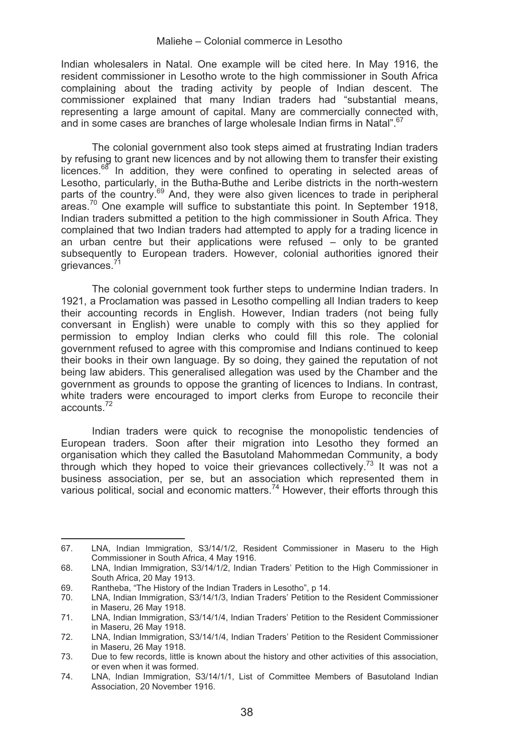Indian wholesalers in Natal. One example will be cited here. In May 1916, the resident commissioner in Lesotho wrote to the high commissioner in South Africa complaining about the trading activity by people of Indian descent. The commissioner explained that many Indian traders had "substantial means, representing a large amount of capital. Many are commercially connected with, and in some cases are branches of large wholesale Indian firms in Natal".<sup>67</sup>

The colonial government also took steps aimed at frustrating Indian traders by refusing to grant new licences and by not allowing them to transfer their existing  $l$  icences.<sup>68</sup> In addition, they were confined to operating in selected areas of Lesotho, particularly, in the Butha-Buthe and Leribe districts in the north-western parts of the country.<sup>69</sup> And, they were also given licences to trade in peripheral  $a$ reas.<sup>70</sup> One example will suffice to substantiate this point. In September 1918, Indian traders submitted a petition to the high commissioner in South Africa. They complained that two Indian traders had attempted to apply for a trading licence in an urban centre but their applications were refused – only to be granted subsequently to European traders. However, colonial authorities ignored their grievances.<sup>71</sup>

The colonial government took further steps to undermine Indian traders. In 1921, a Proclamation was passed in Lesotho compelling all Indian traders to keep their accounting records in English. However, Indian traders (not being fully conversant in English) were unable to comply with this so they applied for permission to employ Indian clerks who could fill this role. The colonial government refused to agree with this compromise and Indians continued to keep their books in their own language. By so doing, they gained the reputation of not being law abiders. This generalised allegation was used by the Chamber and the government as grounds to oppose the granting of licences to Indians. In contrast, white traders were encouraged to import clerks from Europe to reconcile their accounts.72

Indian traders were quick to recognise the monopolistic tendencies of European traders. Soon after their migration into Lesotho they formed an organisation which they called the Basutoland Mahommedan Community, a body through which they hoped to voice their grievances collectively.<sup>73</sup> It was not a business association, per se, but an association which represented them in various political, social and economic matters.74 However, their efforts through this

<sup>&</sup>lt;u> Alexandria de la contrada de la contrada de la contrada de la contrada de la contrada de la contrada de la c</u> 67. LNA, Indian Immigration, S3/14/1/2, Resident Commissioner in Maseru to the High Commissioner in South Africa, 4 May 1916.

<sup>68.</sup> LNA, Indian Immigration, S3/14/1/2, Indian Traders' Petition to the High Commissioner in South Africa, 20 May 1913.

<sup>69.</sup> Rantheba, "The History of the Indian Traders in Lesotho", p 14.<br>70. LNA. Indian Immigration. S3/14/1/3. Indian Traders' Petition to

LNA, Indian Immigration, S3/14/1/3, Indian Traders' Petition to the Resident Commissioner in Maseru, 26 May 1918.

<sup>71.</sup> LNA, Indian Immigration, S3/14/1/4, Indian Traders' Petition to the Resident Commissioner in Maseru, 26 May 1918.

<sup>72.</sup> LNA, Indian Immigration, S3/14/1/4, Indian Traders' Petition to the Resident Commissioner in Maseru, 26 May 1918.

<sup>73.</sup> Due to few records, little is known about the history and other activities of this association, or even when it was formed.

<sup>74.</sup> LNA, Indian Immigration, S3/14/1/1, List of Committee Members of Basutoland Indian Association, 20 November 1916.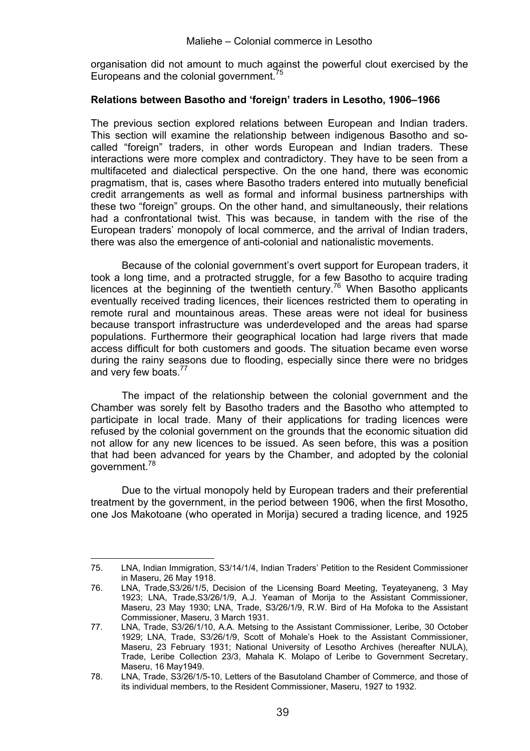organisation did not amount to much against the powerful clout exercised by the Europeans and the colonial government. $\overline{3}$ 

### **Relations between Basotho and 'foreign' traders in Lesotho, 1906–1966**

The previous section explored relations between European and Indian traders. This section will examine the relationship between indigenous Basotho and socalled "foreign" traders, in other words European and Indian traders. These interactions were more complex and contradictory. They have to be seen from a multifaceted and dialectical perspective. On the one hand, there was economic pragmatism, that is, cases where Basotho traders entered into mutually beneficial credit arrangements as well as formal and informal business partnerships with these two "foreign" groups. On the other hand, and simultaneously, their relations had a confrontational twist. This was because, in tandem with the rise of the European traders' monopoly of local commerce, and the arrival of Indian traders, there was also the emergence of anti-colonial and nationalistic movements.

Because of the colonial government's overt support for European traders, it took a long time, and a protracted struggle, for a few Basotho to acquire trading licences at the beginning of the twentieth century.<sup>76</sup> When Basotho applicants eventually received trading licences, their licences restricted them to operating in remote rural and mountainous areas. These areas were not ideal for business because transport infrastructure was underdeveloped and the areas had sparse populations. Furthermore their geographical location had large rivers that made access difficult for both customers and goods. The situation became even worse during the rainy seasons due to flooding, especially since there were no bridges and very few boats.<sup>77</sup>

The impact of the relationship between the colonial government and the Chamber was sorely felt by Basotho traders and the Basotho who attempted to participate in local trade. Many of their applications for trading licences were refused by the colonial government on the grounds that the economic situation did not allow for any new licences to be issued. As seen before, this was a position that had been advanced for years by the Chamber, and adopted by the colonial government.78

Due to the virtual monopoly held by European traders and their preferential treatment by the government, in the period between 1906, when the first Mosotho, one Jos Makotoane (who operated in Morija) secured a trading licence, and 1925

<sup>75.</sup> LNA, Indian Immigration, S3/14/1/4, Indian Traders' Petition to the Resident Commissioner in Maseru, 26 May 1918.

<sup>76.</sup> LNA, Trade,S3/26/1/5, Decision of the Licensing Board Meeting, Teyateyaneng, 3 May 1923; LNA, Trade,S3/26/1/9, A.J. Yeaman of Morija to the Assistant Commissioner, Maseru, 23 May 1930; LNA, Trade, S3/26/1/9, R.W. Bird of Ha Mofoka to the Assistant Commissioner, Maseru, 3 March 1931.

<sup>77.</sup> LNA, Trade, S3/26/1/10, A.A. Metsing to the Assistant Commissioner, Leribe, 30 October 1929; LNA, Trade, S3/26/1/9, Scott of Mohale's Hoek to the Assistant Commissioner, Maseru, 23 February 1931; National University of Lesotho Archives (hereafter NULA), Trade, Leribe Collection 23/3, Mahala K. Molapo of Leribe to Government Secretary, Maseru, 16 May1949.

<sup>78.</sup> LNA, Trade, S3/26/1/5-10, Letters of the Basutoland Chamber of Commerce, and those of its individual members, to the Resident Commissioner, Maseru, 1927 to 1932.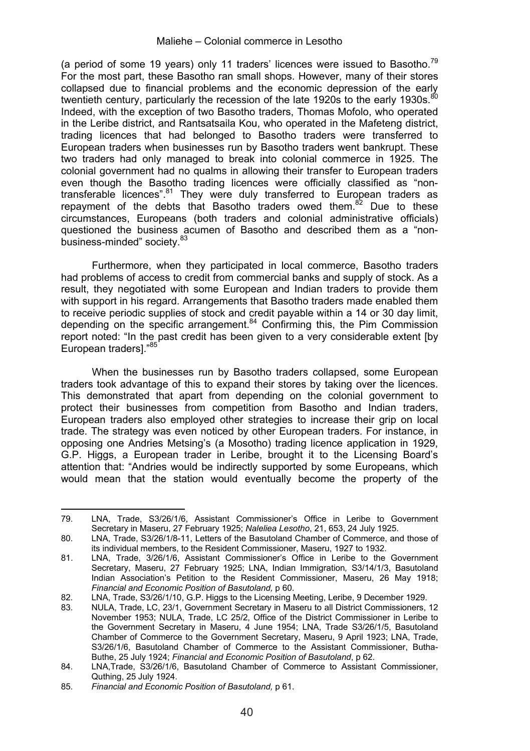(a period of some 19 years) only 11 traders' licences were issued to Basotho.<sup>79</sup> For the most part, these Basotho ran small shops. However, many of their stores collapsed due to financial problems and the economic depression of the early twentieth century, particularly the recession of the late 1920s to the early 1930s.<sup>80</sup> Indeed, with the exception of two Basotho traders, Thomas Mofolo, who operated in the Leribe district, and Rantsatsaila Kou, who operated in the Mafeteng district, trading licences that had belonged to Basotho traders were transferred to European traders when businesses run by Basotho traders went bankrupt. These two traders had only managed to break into colonial commerce in 1925. The colonial government had no qualms in allowing their transfer to European traders even though the Basotho trading licences were officially classified as "nontransferable licences".<sup>81</sup> They were duly transferred to European traders as repayment of the debts that Basotho traders owed them.<sup>82</sup> Due to these circumstances, Europeans (both traders and colonial administrative officials) questioned the business acumen of Basotho and described them as a "nonbusiness-minded" society. 83

Furthermore, when they participated in local commerce, Basotho traders had problems of access to credit from commercial banks and supply of stock. As a result, they negotiated with some European and Indian traders to provide them with support in his regard. Arrangements that Basotho traders made enabled them to receive periodic supplies of stock and credit payable within a 14 or 30 day limit, depending on the specific arrangement.<sup>84</sup> Confirming this, the Pim Commission report noted: "In the past credit has been given to a very considerable extent [by European traders1."<sup>85</sup>

When the businesses run by Basotho traders collapsed, some European traders took advantage of this to expand their stores by taking over the licences. This demonstrated that apart from depending on the colonial government to protect their businesses from competition from Basotho and Indian traders, European traders also employed other strategies to increase their grip on local trade. The strategy was even noticed by other European traders. For instance, in opposing one Andries Metsing's (a Mosotho) trading licence application in 1929, G.P. Higgs, a European trader in Leribe, brought it to the Licensing Board's attention that: "Andries would be indirectly supported by some Europeans, which would mean that the station would eventually become the property of the

 79. LNA, Trade, S3/26/1/6, Assistant Commissioner's Office in Leribe to Government Secretary in Maseru, 27 February 1925; *Naleliea Lesotho*, 21, 653, 24 July 1925.

<sup>80.</sup> LNA, Trade, S3/26/1/8-11, Letters of the Basutoland Chamber of Commerce, and those of its individual members, to the Resident Commissioner, Maseru, 1927 to 1932.

<sup>81.</sup> LNA, Trade, 3/26/1/6, Assistant Commissioner's Office in Leribe to the Government Secretary, Maseru, 27 February 1925; LNA, Indian Immigration*,* S3/14/1/3, Basutoland Indian Association's Petition to the Resident Commissioner, Maseru, 26 May 1918; *Financial and Economic Position of Basutoland,* p 60.

<sup>82.</sup> LNA, Trade, S3/26/1/10, G.P. Higgs to the Licensing Meeting, Leribe, 9 December 1929.

<sup>83.</sup> NULA, Trade, LC, 23/1, Government Secretary in Maseru to all District Commissioners, 12 November 1953; NULA, Trade, LC 25/2, Office of the District Commissioner in Leribe to the Government Secretary in Maseru, 4 June 1954; LNA, Trade S3/26/1/5, Basutoland Chamber of Commerce to the Government Secretary, Maseru, 9 April 1923; LNA, Trade, S3/26/1/6, Basutoland Chamber of Commerce to the Assistant Commissioner, Butha-Buthe, 25 July 1924; *Financial and Economic Position of Basutoland*, p 62.

<sup>84.</sup> LNA,Trade, S3/26/1/6, Basutoland Chamber of Commerce to Assistant Commissioner, Quthing, 25 July 1924.

<sup>85.</sup> *Financial and Economic Position of Basutoland,* p 61.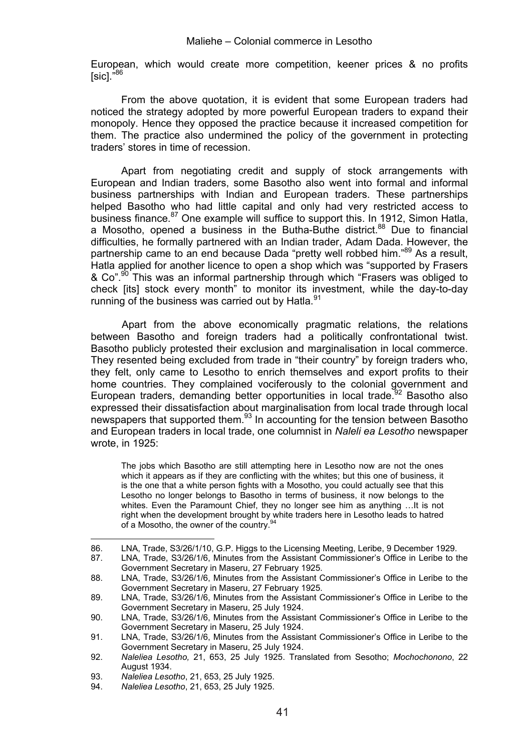European, which would create more competition, keener prices & no profits  $[SiCl. <sup>86</sup>]$ 

From the above quotation, it is evident that some European traders had noticed the strategy adopted by more powerful European traders to expand their monopoly. Hence they opposed the practice because it increased competition for them. The practice also undermined the policy of the government in protecting traders' stores in time of recession.

Apart from negotiating credit and supply of stock arrangements with European and Indian traders, some Basotho also went into formal and informal business partnerships with Indian and European traders. These partnerships helped Basotho who had little capital and only had very restricted access to business finance.<sup>87</sup> One example will suffice to support this. In 1912, Simon Hatla, a Mosotho, opened a business in the Butha-Buthe district.<sup>88</sup> Due to financial difficulties, he formally partnered with an Indian trader, Adam Dada. However, the partnership came to an end because Dada "pretty well robbed him."<sup>89</sup> As a result, Hatla applied for another licence to open a shop which was "supported by Frasers & Co".<sup>90</sup> This was an informal partnership through which "Frasers was obliged to check [its] stock every month" to monitor its investment, while the day-to-day running of the business was carried out by Hatla.<sup>91</sup>

Apart from the above economically pragmatic relations, the relations between Basotho and foreign traders had a politically confrontational twist. Basotho publicly protested their exclusion and marginalisation in local commerce. They resented being excluded from trade in "their country" by foreign traders who, they felt, only came to Lesotho to enrich themselves and export profits to their home countries. They complained vociferously to the colonial government and European traders, demanding better opportunities in local trade.<sup>92</sup> Basotho also expressed their dissatisfaction about marginalisation from local trade through local newspapers that supported them.<sup>93</sup> In accounting for the tension between Basotho and European traders in local trade, one columnist in *Naleli ea Lesotho* newspaper wrote, in 1925:

The jobs which Basotho are still attempting here in Lesotho now are not the ones which it appears as if they are conflicting with the whites; but this one of business, it is the one that a white person fights with a Mosotho, you could actually see that this Lesotho no longer belongs to Basotho in terms of business, it now belongs to the whites. Even the Paramount Chief, they no longer see him as anything ... It is not right when the development brought by white traders here in Lesotho leads to hatred of a Mosotho, the owner of the country.<sup>94</sup>

<u> Alexandria de la contrada de la contrada de la contrada de la contrada de la contrada de la contrada de la c</u>

<sup>86.</sup> LNA, Trade, S3/26/1/10, G.P. Higgs to the Licensing Meeting, Leribe, 9 December 1929.<br>87. LNA. Trade. S3/26/1/6. Minutes from the Assistant Commissioner's Office in Leribe to t

LNA, Trade, S3/26/1/6, Minutes from the Assistant Commissioner's Office in Leribe to the Government Secretary in Maseru, 27 February 1925.

<sup>88.</sup> LNA, Trade, S3/26/1/6, Minutes from the Assistant Commissioner's Office in Leribe to the Government Secretary in Maseru, 27 February 1925.

<sup>89.</sup> LNA, Trade, S3/26/1/6, Minutes from the Assistant Commissioner's Office in Leribe to the Government Secretary in Maseru, 25 July 1924.

<sup>90.</sup> LNA, Trade, S3/26/1/6, Minutes from the Assistant Commissioner's Office in Leribe to the Government Secretary in Maseru, 25 July 1924.

<sup>91.</sup> LNA, Trade, S3/26/1/6, Minutes from the Assistant Commissioner's Office in Leribe to the Government Secretary in Maseru, 25 July 1924.

<sup>92.</sup> *Naleliea Lesotho,* 21, 653, 25 July 1925. Translated from Sesotho; *Mochochonono*, 22 August 1934.

<sup>93.</sup> *Naleliea Lesotho*, 21, 653, 25 July 1925.

<sup>94.</sup> *Naleliea Lesotho*, 21, 653, 25 July 1925.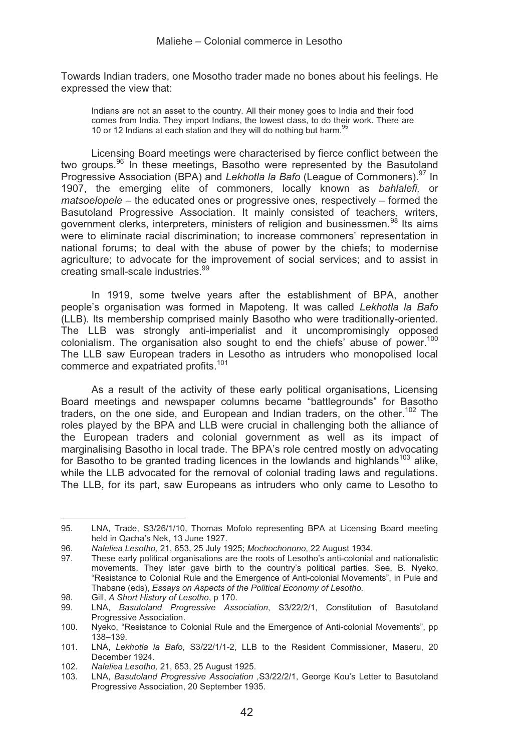Towards Indian traders, one Mosotho trader made no bones about his feelings. He expressed the view that:

Indians are not an asset to the country. All their money goes to India and their food comes from India. They import Indians, the lowest class, to do their work. There are 10 or 12 Indians at each station and they will do nothing but harm.<sup>9</sup>

Licensing Board meetings were characterised by fierce conflict between the two groups.<sup>96</sup> In these meetings, Basotho were represented by the Basutoland Progressive Association (BPA) and *Lekhotla la Bafo* (League of Commoners).97 In 1907, the emerging elite of commoners, locally known as *bahlalefi,* or *matsoelopele* – the educated ones or progressive ones, respectively – formed the Basutoland Progressive Association. It mainly consisted of teachers, writers, government clerks, interpreters, ministers of religion and businessmen.<sup>98</sup> Its aims were to eliminate racial discrimination; to increase commoners' representation in national forums; to deal with the abuse of power by the chiefs; to modernise agriculture; to advocate for the improvement of social services; and to assist in creating small-scale industries.<sup>99</sup>

In 1919, some twelve years after the establishment of BPA, another people's organisation was formed in Mapoteng. It was called *Lekhotla la Bafo* (LLB). Its membership comprised mainly Basotho who were traditionally-oriented. The LLB was strongly anti-imperialist and it uncompromisingly opposed colonialism. The organisation also sought to end the chiefs' abuse of power.<sup>100</sup> The LLB saw European traders in Lesotho as intruders who monopolised local commerce and expatriated profits.<sup>101</sup>

As a result of the activity of these early political organisations, Licensing Board meetings and newspaper columns became "battlegrounds" for Basotho traders, on the one side, and European and Indian traders, on the other.<sup>102</sup> The roles played by the BPA and LLB were crucial in challenging both the alliance of the European traders and colonial government as well as its impact of marginalising Basotho in local trade. The BPA's role centred mostly on advocating for Basotho to be granted trading licences in the lowlands and highlands<sup>103</sup> alike, while the LLB advocated for the removal of colonial trading laws and regulations. The LLB, for its part, saw Europeans as intruders who only came to Lesotho to

<sup>&</sup>lt;u> Alexandria de la contexta de la contexta de la contexta de la contexta de la contexta de la contexta de la c</u> 95. LNA, Trade, S3/26/1/10, Thomas Mofolo representing BPA at Licensing Board meeting held in Qacha's Nek, 13 June 1927.

<sup>96.</sup> *Naleliea Lesotho,* 21, 653, 25 July 1925; *Mochochonono*, 22 August 1934.

These early political organisations are the roots of Lesotho's anti-colonial and nationalistic movements. They later gave birth to the country's political parties. See, B. Nyeko, "Resistance to Colonial Rule and the Emergence of Anti-colonial Movements", in Pule and Thabane (eds), *Essays on Aspects of the Political Economy of Lesotho.*

<sup>98.</sup> Gill, *A Short History of Lesotho*, p 170.

<sup>99.</sup> LNA, *Basutoland Progressive Association*, S3/22/2/1, Constitution of Basutoland Progressive Association.

<sup>100.</sup> Nyeko, "Resistance to Colonial Rule and the Emergence of Anti-colonial Movements", pp 138–139.

<sup>101.</sup> LNA, *Lekhotla la Bafo*, S3/22/1/1-2, LLB to the Resident Commissioner, Maseru, 20 December 1924.

<sup>102.</sup> *Naleliea Lesotho,* 21, 653, 25 August 1925.

<sup>103.</sup> LNA, *Basutoland Progressive Association ,*S3/22/2/1, George Kou's Letter to Basutoland Progressive Association, 20 September 1935.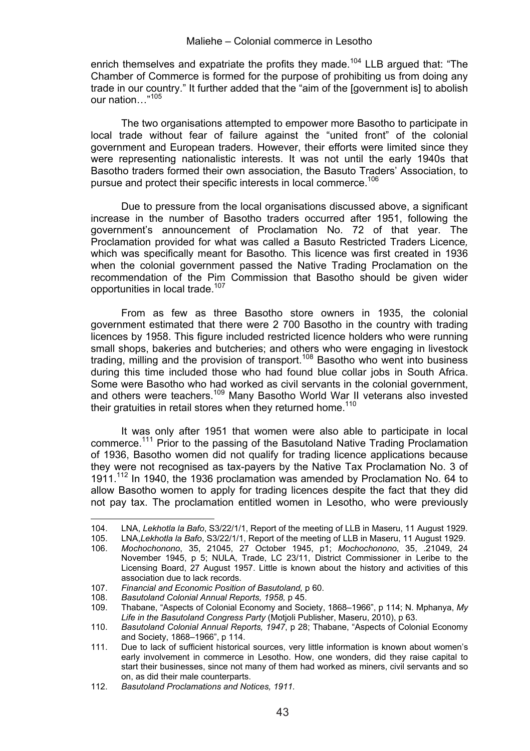enrich themselves and expatriate the profits they made.<sup>104</sup> LLB argued that: "The Chamber of Commerce is formed for the purpose of prohibiting us from doing any trade in our country." It further added that the "aim of the [government is] to abolish our nation…"<sup>105</sup>

The two organisations attempted to empower more Basotho to participate in local trade without fear of failure against the "united front" of the colonial government and European traders. However, their efforts were limited since they were representing nationalistic interests. It was not until the early 1940s that Basotho traders formed their own association, the Basuto Traders' Association, to pursue and protect their specific interests in local commerce.<sup>106</sup>

Due to pressure from the local organisations discussed above, a significant increase in the number of Basotho traders occurred after 1951, following the government's announcement of Proclamation No. 72 of that year. The Proclamation provided for what was called a Basuto Restricted Traders Licence*,*  which was specifically meant for Basotho*.* This licence was first created in 1936 when the colonial government passed the Native Trading Proclamation on the recommendation of the Pim Commission that Basotho should be given wider opportunities in local trade.<sup>107</sup>

From as few as three Basotho store owners in 1935, the colonial government estimated that there were 2 700 Basotho in the country with trading licences by 1958. This figure included restricted licence holders who were running small shops, bakeries and butcheries; and others who were engaging in livestock trading, milling and the provision of transport.108 Basotho who went into business during this time included those who had found blue collar jobs in South Africa. Some were Basotho who had worked as civil servants in the colonial government, and others were teachers.109 Many Basotho World War II veterans also invested their gratuities in retail stores when they returned home.<sup>110</sup>

It was only after 1951 that women were also able to participate in local commerce.<sup>111</sup> Prior to the passing of the Basutoland Native Trading Proclamation of 1936, Basotho women did not qualify for trading licence applications because they were not recognised as tax-payers by the Native Tax Proclamation No. 3 of 1911.112 In 1940, the 1936 proclamation was amended by Proclamation No. 64 to allow Basotho women to apply for trading licences despite the fact that they did not pay tax. The proclamation entitled women in Lesotho, who were previously

<sup>104.</sup> LNA, *Lekhotla la Bafo*, S3/22/1/1, Report of the meeting of LLB in Maseru, 11 August 1929.

<sup>105.</sup> LNA,*Lekhotla la Bafo*, S3/22/1/1, Report of the meeting of LLB in Maseru, 11 August 1929.

<sup>106.</sup> *Mochochonono*, 35, 21045, 27 October 1945, p1; *Mochochonono*, 35, .21049, 24 November 1945, p 5; NULA, Trade, LC 23/11, District Commissioner in Leribe to the Licensing Board, 27 August 1957. Little is known about the history and activities of this association due to lack records.

<sup>107.</sup> *Financial and Economic Position of Basutoland,* p 60.

<sup>108.</sup> *Basutoland Colonial Annual Reports, 1958,* p 45.

<sup>109.</sup> Thabane, "Aspects of Colonial Economy and Society, 1868–1966", p 114; N. Mphanya, *My Life in the Basutoland Congress Party* (Motjoli Publisher, Maseru, 2010), p 63.

<sup>110.</sup> *Basutoland Colonial Annual Reports, 1947*, p 28; Thabane, "Aspects of Colonial Economy and Society, 1868–1966", p 114.

<sup>111.</sup> Due to lack of sufficient historical sources, very little information is known about women's early involvement in commerce in Lesotho. How, one wonders, did they raise capital to start their businesses, since not many of them had worked as miners, civil servants and so on, as did their male counterparts.

<sup>112.</sup> *Basutoland Proclamations and Notices, 1911.*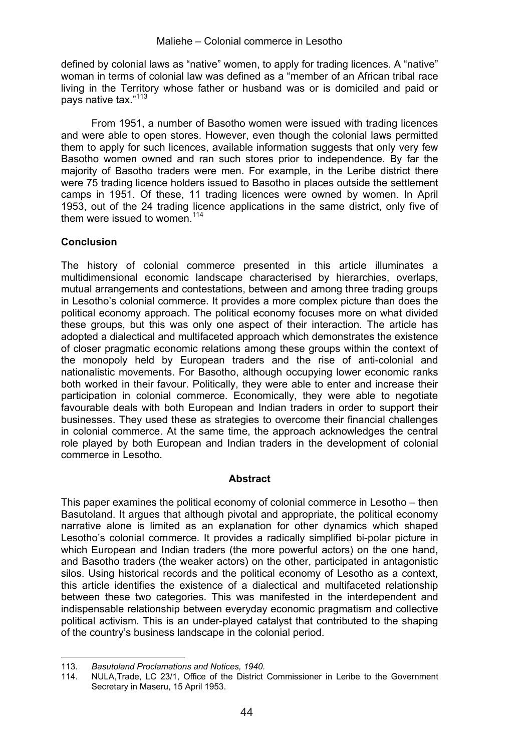defined by colonial laws as "native" women, to apply for trading licences. A "native" woman in terms of colonial law was defined as a "member of an African tribal race living in the Territory whose father or husband was or is domiciled and paid or pays native tax."<sup>113</sup>

From 1951, a number of Basotho women were issued with trading licences and were able to open stores. However, even though the colonial laws permitted them to apply for such licences, available information suggests that only very few Basotho women owned and ran such stores prior to independence. By far the majority of Basotho traders were men. For example, in the Leribe district there were 75 trading licence holders issued to Basotho in places outside the settlement camps in 1951. Of these, 11 trading licences were owned by women. In April 1953, out of the 24 trading licence applications in the same district, only five of them were issued to women.<sup>114</sup>

### **Conclusion**

The history of colonial commerce presented in this article illuminates a multidimensional economic landscape characterised by hierarchies, overlaps, mutual arrangements and contestations, between and among three trading groups in Lesotho's colonial commerce. It provides a more complex picture than does the political economy approach. The political economy focuses more on what divided these groups, but this was only one aspect of their interaction. The article has adopted a dialectical and multifaceted approach which demonstrates the existence of closer pragmatic economic relations among these groups within the context of the monopoly held by European traders and the rise of anti-colonial and nationalistic movements. For Basotho, although occupying lower economic ranks both worked in their favour. Politically, they were able to enter and increase their participation in colonial commerce. Economically, they were able to negotiate favourable deals with both European and Indian traders in order to support their businesses. They used these as strategies to overcome their financial challenges in colonial commerce. At the same time, the approach acknowledges the central role played by both European and Indian traders in the development of colonial commerce in Lesotho.

#### **Abstract**

This paper examines the political economy of colonial commerce in Lesotho – then Basutoland. It argues that although pivotal and appropriate, the political economy narrative alone is limited as an explanation for other dynamics which shaped Lesotho's colonial commerce. It provides a radically simplified bi-polar picture in which European and Indian traders (the more powerful actors) on the one hand, and Basotho traders (the weaker actors) on the other, participated in antagonistic silos. Using historical records and the political economy of Lesotho as a context, this article identifies the existence of a dialectical and multifaceted relationship between these two categories. This was manifested in the interdependent and indispensable relationship between everyday economic pragmatism and collective political activism. This is an under-played catalyst that contributed to the shaping of the country's business landscape in the colonial period.

<sup>113.</sup> *Basutoland Proclamations and Notices, 1940.*

NULA, Trade, LC 23/1, Office of the District Commissioner in Leribe to the Government Secretary in Maseru, 15 April 1953.